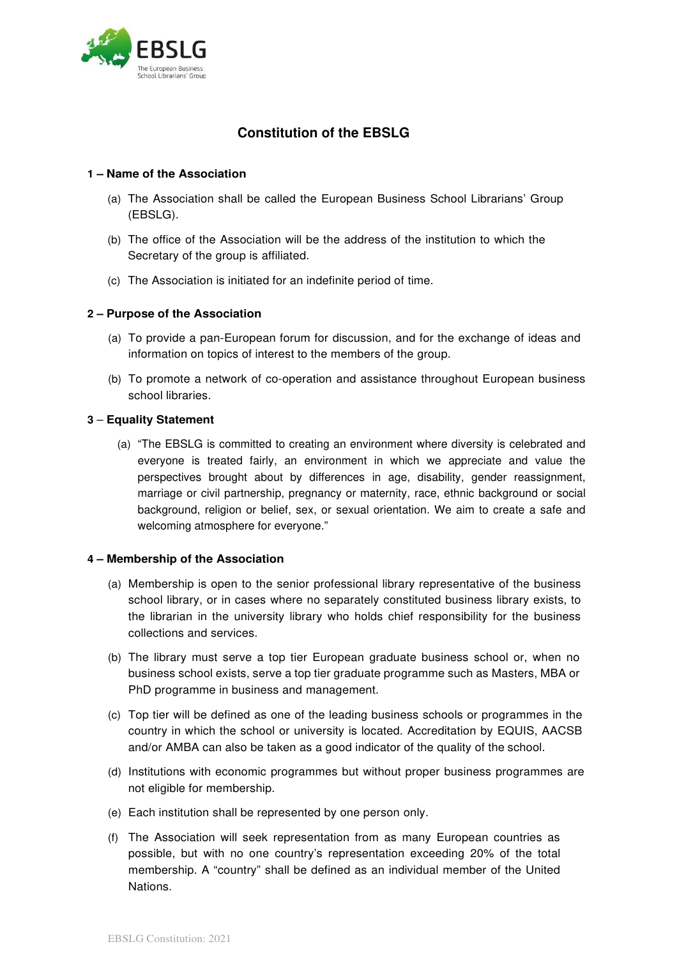

# **Constitution of the EBSLG**

## **1 – Name of the Association**

- (a) The Association shall be called the European Business School Librarians' Group (EBSLG).
- (b) The office of the Association will be the address of the institution to which the Secretary of the group is affiliated.
- (c) The Association is initiated for an indefinite period of time.

## **2 – Purpose of the Association**

- (a) To provide a pan-European forum for discussion, and for the exchange of ideas and information on topics of interest to the members of the group.
- (b) To promote a network of co-operation and assistance throughout European business school libraries.

## **3** – **Equality Statement**

(a) "The EBSLG is committed to creating an environment where diversity is celebrated and everyone is treated fairly, an environment in which we appreciate and value the perspectives brought about by differences in age, disability, gender reassignment, marriage or civil partnership, pregnancy or maternity, race, ethnic background or social background, religion or belief, sex, or sexual orientation. We aim to create a safe and welcoming atmosphere for everyone."

### **4 – Membership of the Association**

- (a) Membership is open to the senior professional library representative of the business school library, or in cases where no separately constituted business library exists, to the librarian in the university library who holds chief responsibility for the business collections and services.
- (b) The library must serve a top tier European graduate business school or, when no business school exists, serve a top tier graduate programme such as Masters, MBA or PhD programme in business and management.
- (c) Top tier will be defined as one of the leading business schools or programmes in the country in which the school or university is located. Accreditation by EQUIS, AACSB and/or AMBA can also be taken as a good indicator of the quality of the school.
- (d) Institutions with economic programmes but without proper business programmes are not eligible for membership.
- (e) Each institution shall be represented by one person only.
- (f) The Association will seek representation from as many European countries as possible, but with no one country's representation exceeding 20% of the total membership. A "country" shall be defined as an individual member of the United Nations.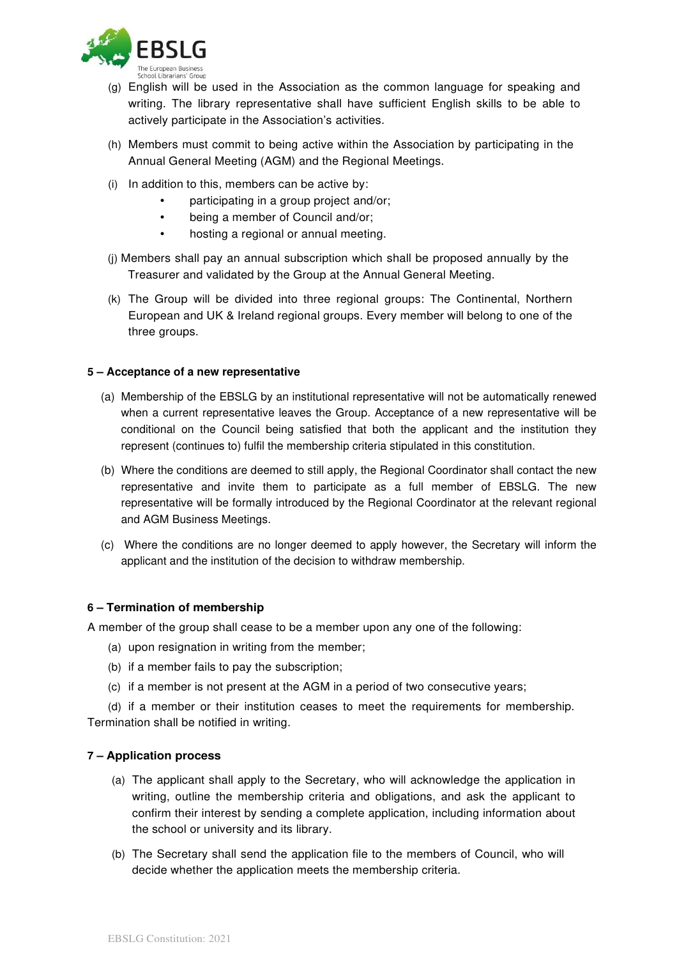

- (g) English will be used in the Association as the common language for speaking and writing. The library representative shall have sufficient English skills to be able to actively participate in the Association's activities.
- (h) Members must commit to being active within the Association by participating in the Annual General Meeting (AGM) and the Regional Meetings.
- (i) In addition to this, members can be active by:
	- participating in a group project and/or;
	- being a member of Council and/or;
	- hosting a regional or annual meeting.
- (j) Members shall pay an annual subscription which shall be proposed annually by the Treasurer and validated by the Group at the Annual General Meeting.
- (k) The Group will be divided into three regional groups: The Continental, Northern European and UK & Ireland regional groups. Every member will belong to one of the three groups.

### **5 – Acceptance of a new representative**

- (a) Membership of the EBSLG by an institutional representative will not be automatically renewed when a current representative leaves the Group. Acceptance of a new representative will be conditional on the Council being satisfied that both the applicant and the institution they represent (continues to) fulfil the membership criteria stipulated in this constitution.
- (b) Where the conditions are deemed to still apply, the Regional Coordinator shall contact the new representative and invite them to participate as a full member of EBSLG. The new representative will be formally introduced by the Regional Coordinator at the relevant regional and AGM Business Meetings.
- (c) Where the conditions are no longer deemed to apply however, the Secretary will inform the applicant and the institution of the decision to withdraw membership.

### **6 – Termination of membership**

A member of the group shall cease to be a member upon any one of the following:

- (a) upon resignation in writing from the member;
- (b) if a member fails to pay the subscription;
- (c) if a member is not present at the AGM in a period of two consecutive years;

(d) if a member or their institution ceases to meet the requirements for membership. Termination shall be notified in writing.

### **7 – Application process**

- (a) The applicant shall apply to the Secretary, who will acknowledge the application in writing, outline the membership criteria and obligations, and ask the applicant to confirm their interest by sending a complete application, including information about the school or university and its library.
- (b) The Secretary shall send the application file to the members of Council, who will decide whether the application meets the membership criteria.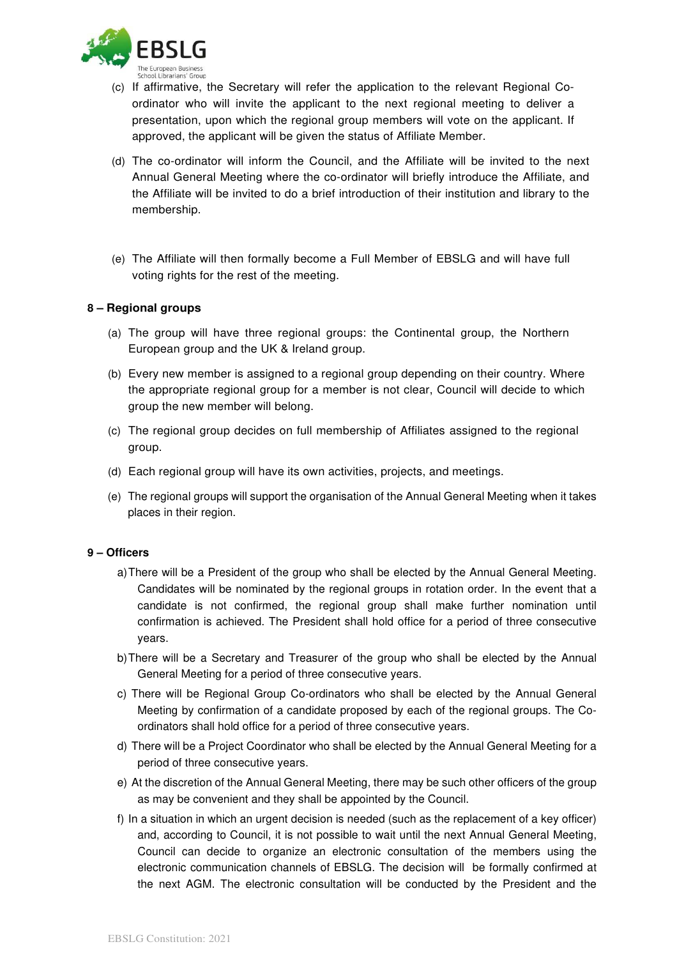

- (c) If affirmative, the Secretary will refer the application to the relevant Regional Coordinator who will invite the applicant to the next regional meeting to deliver a presentation, upon which the regional group members will vote on the applicant. If approved, the applicant will be given the status of Affiliate Member.
- (d) The co-ordinator will inform the Council, and the Affiliate will be invited to the next Annual General Meeting where the co-ordinator will briefly introduce the Affiliate, and the Affiliate will be invited to do a brief introduction of their institution and library to the membership.
- (e) The Affiliate will then formally become a Full Member of EBSLG and will have full voting rights for the rest of the meeting.

## **8 – Regional groups**

- (a) The group will have three regional groups: the Continental group, the Northern European group and the UK & Ireland group.
- (b) Every new member is assigned to a regional group depending on their country. Where the appropriate regional group for a member is not clear, Council will decide to which group the new member will belong.
- (c) The regional group decides on full membership of Affiliates assigned to the regional group.
- (d) Each regional group will have its own activities, projects, and meetings.
- (e) The regional groups will support the organisation of the Annual General Meeting when it takes places in their region.

### **9 – Officers**

- a) There will be a President of the group who shall be elected by the Annual General Meeting. Candidates will be nominated by the regional groups in rotation order. In the event that a candidate is not confirmed, the regional group shall make further nomination until confirmation is achieved. The President shall hold office for a period of three consecutive years.
- b) There will be a Secretary and Treasurer of the group who shall be elected by the Annual General Meeting for a period of three consecutive years.
- c) There will be Regional Group Co-ordinators who shall be elected by the Annual General Meeting by confirmation of a candidate proposed by each of the regional groups. The Coordinators shall hold office for a period of three consecutive years.
- d) There will be a Project Coordinator who shall be elected by the Annual General Meeting for a period of three consecutive years.
- e) At the discretion of the Annual General Meeting, there may be such other officers of the group as may be convenient and they shall be appointed by the Council.
- f) In a situation in which an urgent decision is needed (such as the replacement of a key officer) and, according to Council, it is not possible to wait until the next Annual General Meeting, Council can decide to organize an electronic consultation of the members using the electronic communication channels of EBSLG. The decision will be formally confirmed at the next AGM. The electronic consultation will be conducted by the President and the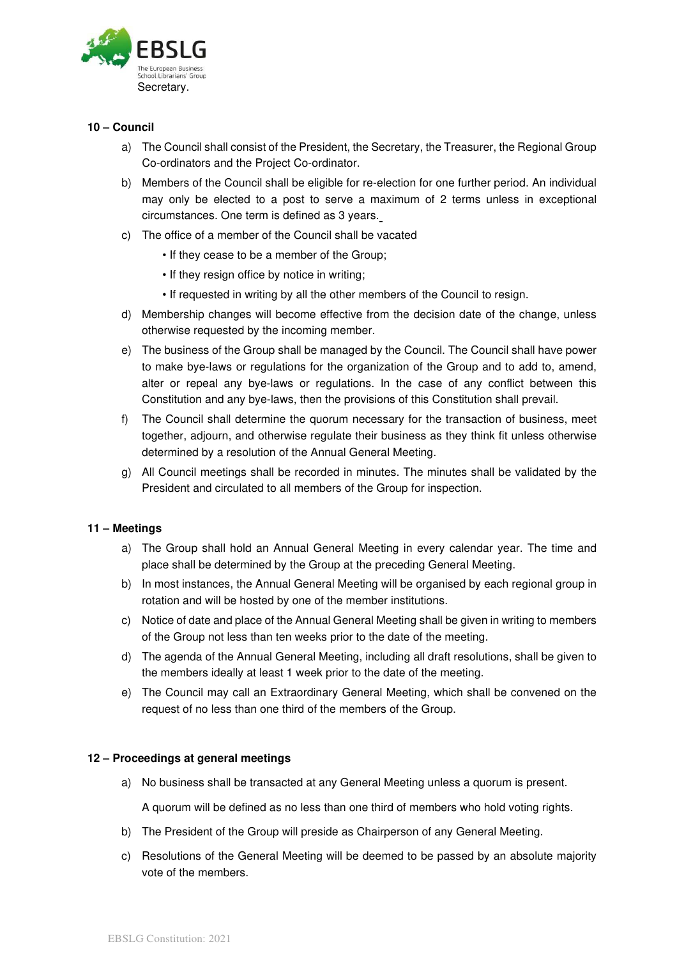

## **10 – Council**

- a) The Council shall consist of the President, the Secretary, the Treasurer, the Regional Group Co-ordinators and the Project Co-ordinator.
- b) Members of the Council shall be eligible for re-election for one further period. An individual may only be elected to a post to serve a maximum of 2 terms unless in exceptional circumstances. One term is defined as 3 years.
- c) The office of a member of the Council shall be vacated
	- If they cease to be a member of the Group;
	- If they resign office by notice in writing;
	- If requested in writing by all the other members of the Council to resign.
- d) Membership changes will become effective from the decision date of the change, unless otherwise requested by the incoming member.
- e) The business of the Group shall be managed by the Council. The Council shall have power to make bye-laws or regulations for the organization of the Group and to add to, amend, alter or repeal any bye-laws or regulations. In the case of any conflict between this Constitution and any bye-laws, then the provisions of this Constitution shall prevail.
- f) The Council shall determine the quorum necessary for the transaction of business, meet together, adjourn, and otherwise regulate their business as they think fit unless otherwise determined by a resolution of the Annual General Meeting.
- g) All Council meetings shall be recorded in minutes. The minutes shall be validated by the President and circulated to all members of the Group for inspection.

### **11 – Meetings**

- a) The Group shall hold an Annual General Meeting in every calendar year. The time and place shall be determined by the Group at the preceding General Meeting.
- b) In most instances, the Annual General Meeting will be organised by each regional group in rotation and will be hosted by one of the member institutions.
- c) Notice of date and place of the Annual General Meeting shall be given in writing to members of the Group not less than ten weeks prior to the date of the meeting.
- d) The agenda of the Annual General Meeting, including all draft resolutions, shall be given to the members ideally at least 1 week prior to the date of the meeting.
- e) The Council may call an Extraordinary General Meeting, which shall be convened on the request of no less than one third of the members of the Group.

### **12 – Proceedings at general meetings**

a) No business shall be transacted at any General Meeting unless a quorum is present.

A quorum will be defined as no less than one third of members who hold voting rights.

- b) The President of the Group will preside as Chairperson of any General Meeting.
- c) Resolutions of the General Meeting will be deemed to be passed by an absolute majority vote of the members.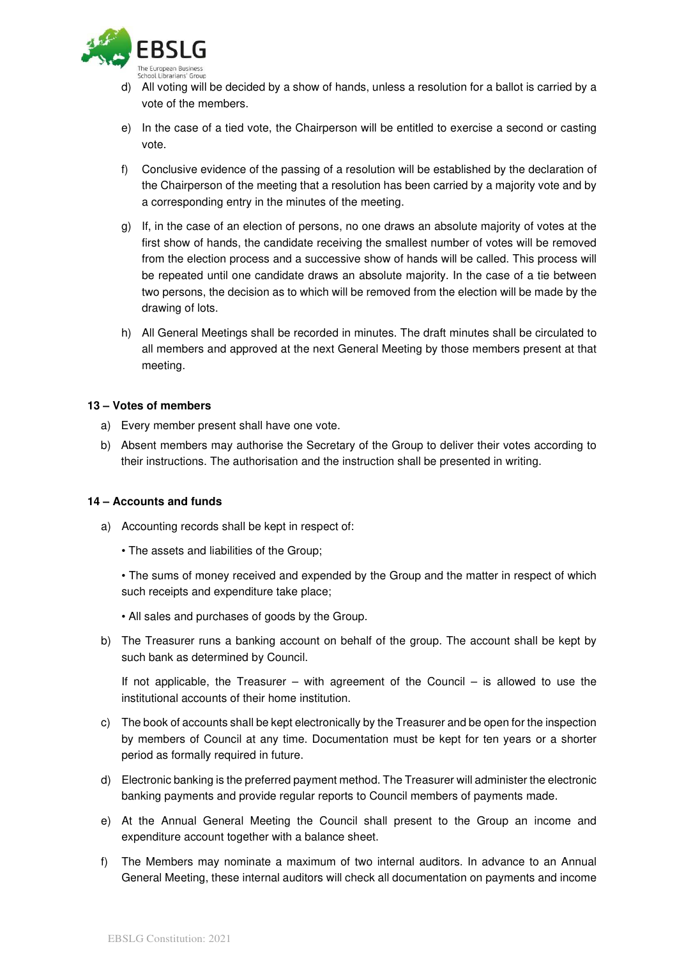

- d) All voting will be decided by a show of hands, unless a resolution for a ballot is carried by a vote of the members.
- e) In the case of a tied vote, the Chairperson will be entitled to exercise a second or casting vote.
- f) Conclusive evidence of the passing of a resolution will be established by the declaration of the Chairperson of the meeting that a resolution has been carried by a majority vote and by a corresponding entry in the minutes of the meeting.
- g) If, in the case of an election of persons, no one draws an absolute majority of votes at the first show of hands, the candidate receiving the smallest number of votes will be removed from the election process and a successive show of hands will be called. This process will be repeated until one candidate draws an absolute majority. In the case of a tie between two persons, the decision as to which will be removed from the election will be made by the drawing of lots.
- h) All General Meetings shall be recorded in minutes. The draft minutes shall be circulated to all members and approved at the next General Meeting by those members present at that meeting.

#### **13 – Votes of members**

- a) Every member present shall have one vote.
- b) Absent members may authorise the Secretary of the Group to deliver their votes according to their instructions. The authorisation and the instruction shall be presented in writing.

### **14 – Accounts and funds**

- a) Accounting records shall be kept in respect of:
	- The assets and liabilities of the Group;
	- The sums of money received and expended by the Group and the matter in respect of which such receipts and expenditure take place;
	- All sales and purchases of goods by the Group.
- b) The Treasurer runs a banking account on behalf of the group. The account shall be kept by such bank as determined by Council.

If not applicable, the Treasurer – with agreement of the Council – is allowed to use the institutional accounts of their home institution.

- c) The book of accounts shall be kept electronically by the Treasurer and be open for the inspection by members of Council at any time. Documentation must be kept for ten years or a shorter period as formally required in future.
- d) Electronic banking is the preferred payment method. The Treasurer will administer the electronic banking payments and provide regular reports to Council members of payments made.
- e) At the Annual General Meeting the Council shall present to the Group an income and expenditure account together with a balance sheet.
- f) The Members may nominate a maximum of two internal auditors. In advance to an Annual General Meeting, these internal auditors will check all documentation on payments and income